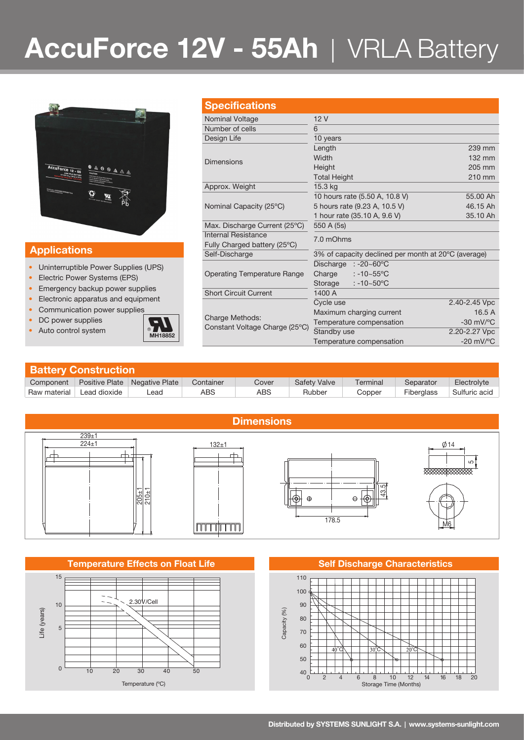# **AccuForce 12V - 55Ah** | VRLA Battery



### **Applications**

- Uninterruptible Power Supplies (UPS)
- Electric Power Systems (EPS)
- Emergency backup power supplies
- Electronic apparatus and equipment
- Communication power supplies
- DC power supplies
- Auto control system **MH18852**



|  | <b>Specifications</b>                             |                                                     |                                |  |  |  |  |  |
|--|---------------------------------------------------|-----------------------------------------------------|--------------------------------|--|--|--|--|--|
|  | Nominal Voltage                                   | 12V                                                 |                                |  |  |  |  |  |
|  | Number of cells                                   | 6                                                   |                                |  |  |  |  |  |
|  | Design Life                                       | 10 years                                            |                                |  |  |  |  |  |
|  |                                                   | Length                                              | 239 mm                         |  |  |  |  |  |
|  | Dimensions                                        | Width                                               | $132 \text{ mm}$               |  |  |  |  |  |
|  |                                                   | Height                                              | 205 mm                         |  |  |  |  |  |
|  |                                                   | <b>Total Height</b>                                 | 210 mm                         |  |  |  |  |  |
|  | Approx. Weight                                    | 15.3 kg                                             |                                |  |  |  |  |  |
|  | Nominal Capacity (25°C)                           | 10 hours rate (5.50 A, 10.8 V)                      | 55,00 Ah                       |  |  |  |  |  |
|  |                                                   | 5 hours rate (9.23 A, 10.5 V)                       | 46.15 Ah                       |  |  |  |  |  |
|  |                                                   | 1 hour rate (35.10 A, 9.6 V)                        | 35.10 Ah                       |  |  |  |  |  |
|  | Max. Discharge Current (25°C)                     | 550 A (5s)                                          |                                |  |  |  |  |  |
|  | Internal Resistance                               | 7.0 mOhms                                           |                                |  |  |  |  |  |
|  | Fully Charged battery (25°C)                      |                                                     |                                |  |  |  |  |  |
|  | Self-Discharge                                    | 3% of capacity declined per month at 20°C (average) |                                |  |  |  |  |  |
|  | <b>Operating Temperature Range</b>                | Discharge $: -20 - 60^{\circ}$ C                    |                                |  |  |  |  |  |
|  |                                                   | $: -10 - 55^{\circ}$ C<br>Charge                    |                                |  |  |  |  |  |
|  |                                                   | $: -10 - 50^{\circ}$ C<br>Storage                   |                                |  |  |  |  |  |
|  | <b>Short Circuit Current</b>                      | 1400 A                                              |                                |  |  |  |  |  |
|  | Charge Methods:<br>Constant Voltage Charge (25°C) | Cycle use                                           | 2.40-2.45 Vpc                  |  |  |  |  |  |
|  |                                                   | Maximum charging current                            | 16.5A                          |  |  |  |  |  |
|  |                                                   | Temperature compensation                            | $-30$ mV/ $^{\circ}$ C         |  |  |  |  |  |
|  |                                                   | Standby use                                         | 2.20-2.27 Vpc                  |  |  |  |  |  |
|  |                                                   | Temperature compensation                            | $-20$ mV/ $\mathrm{^{\circ}C}$ |  |  |  |  |  |

| <b>Battery Construction</b> |              |                                 |           |       |                     |          |            |               |  |  |  |
|-----------------------------|--------------|---------------------------------|-----------|-------|---------------------|----------|------------|---------------|--|--|--|
| Component                   |              | Positive Plate   Negative Plate | Container | Cover | <b>Safety Valve</b> | Terminal | Separator  | Electrolyte   |  |  |  |
| Raw material                | Lead dioxide | _ead                            | ABS       | ABS   | Rubber              | Copper   | Fiberglass | Sulfuric acid |  |  |  |



### **Temperature Effects on Float Life Self Discharge Characteristics**